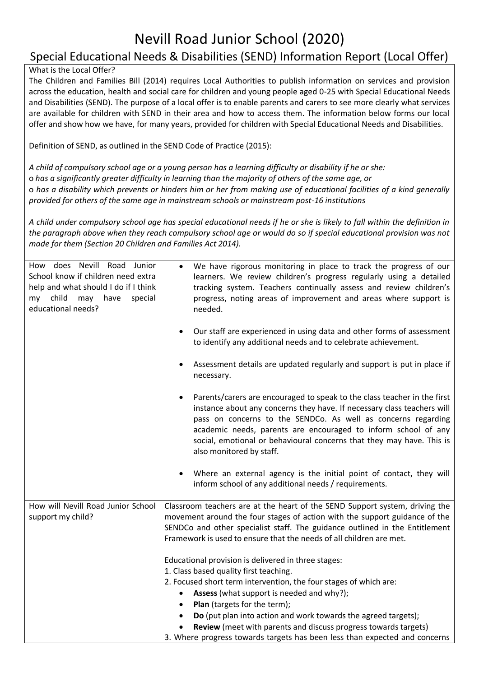## Nevill Road Junior School (2020)

## Special Educational Needs & Disabilities (SEND) Information Report (Local Offer)

## What is the Local Offer?

The Children and Families Bill (2014) requires Local Authorities to publish information on services and provision across the education, health and social care for children and young people aged 0-25 with Special Educational Needs and Disabilities (SEND). The purpose of a local offer is to enable parents and carers to see more clearly what services are available for children with SEND in their area and how to access them. The information below forms our local offer and show how we have, for many years, provided for children with Special Educational Needs and Disabilities.

Definition of SEND, as outlined in the SEND Code of Practice (2015):

*A child of compulsory school age or a young person has a learning difficulty or disability if he or she:*  o *has a significantly greater difficulty in learning than the majority of others of the same age, or*  o *has a disability which prevents or hinders him or her from making use of educational facilities of a kind generally provided for others of the same age in mainstream schools or mainstream post-16 institutions* 

*A child under compulsory school age has special educational needs if he or she is likely to fall within the definition in the paragraph above when they reach compulsory school age or would do so if special educational provision was not made for them (Section 20 Children and Families Act 2014).* 

| How does Nevill Road Junior<br>School know if children need extra<br>help and what should I do if I think<br>child<br>may<br>have<br>special<br>my<br>educational needs? | We have rigorous monitoring in place to track the progress of our<br>$\bullet$<br>learners. We review children's progress regularly using a detailed<br>tracking system. Teachers continually assess and review children's<br>progress, noting areas of improvement and areas where support is<br>needed.                                                                                                                                                                                                 |
|--------------------------------------------------------------------------------------------------------------------------------------------------------------------------|-----------------------------------------------------------------------------------------------------------------------------------------------------------------------------------------------------------------------------------------------------------------------------------------------------------------------------------------------------------------------------------------------------------------------------------------------------------------------------------------------------------|
|                                                                                                                                                                          | Our staff are experienced in using data and other forms of assessment<br>to identify any additional needs and to celebrate achievement.                                                                                                                                                                                                                                                                                                                                                                   |
|                                                                                                                                                                          | Assessment details are updated regularly and support is put in place if<br>necessary.                                                                                                                                                                                                                                                                                                                                                                                                                     |
|                                                                                                                                                                          | Parents/carers are encouraged to speak to the class teacher in the first<br>instance about any concerns they have. If necessary class teachers will<br>pass on concerns to the SENDCo. As well as concerns regarding<br>academic needs, parents are encouraged to inform school of any<br>social, emotional or behavioural concerns that they may have. This is<br>also monitored by staff.                                                                                                               |
|                                                                                                                                                                          | Where an external agency is the initial point of contact, they will<br>inform school of any additional needs / requirements.                                                                                                                                                                                                                                                                                                                                                                              |
| How will Nevill Road Junior School<br>support my child?                                                                                                                  | Classroom teachers are at the heart of the SEND Support system, driving the<br>movement around the four stages of action with the support guidance of the<br>SENDCo and other specialist staff. The guidance outlined in the Entitlement<br>Framework is used to ensure that the needs of all children are met.                                                                                                                                                                                           |
|                                                                                                                                                                          | Educational provision is delivered in three stages:<br>1. Class based quality first teaching.<br>2. Focused short term intervention, the four stages of which are:<br>Assess (what support is needed and why?);<br>$\bullet$<br>Plan (targets for the term);<br>$\bullet$<br>Do (put plan into action and work towards the agreed targets);<br>$\bullet$<br>Review (meet with parents and discuss progress towards targets)<br>3. Where progress towards targets has been less than expected and concerns |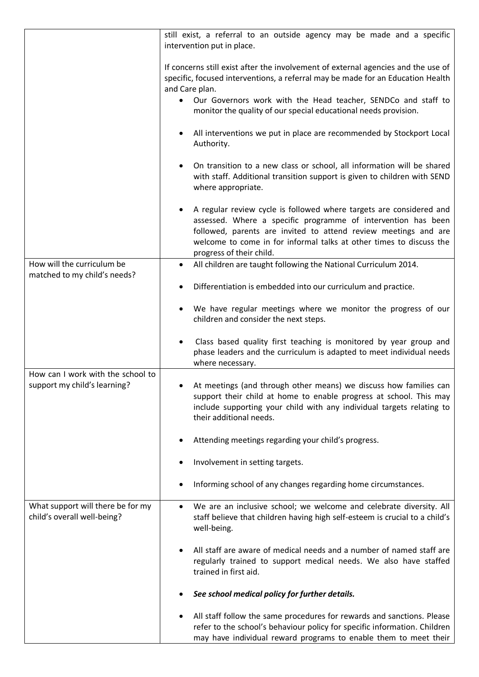|                                                                   | still exist, a referral to an outside agency may be made and a specific<br>intervention put in place.                                                                                                                                                                                                      |
|-------------------------------------------------------------------|------------------------------------------------------------------------------------------------------------------------------------------------------------------------------------------------------------------------------------------------------------------------------------------------------------|
|                                                                   | If concerns still exist after the involvement of external agencies and the use of<br>specific, focused interventions, a referral may be made for an Education Health<br>and Care plan.<br>Our Governors work with the Head teacher, SENDCo and staff to                                                    |
|                                                                   | monitor the quality of our special educational needs provision.                                                                                                                                                                                                                                            |
|                                                                   | All interventions we put in place are recommended by Stockport Local<br>Authority.                                                                                                                                                                                                                         |
|                                                                   | On transition to a new class or school, all information will be shared<br>with staff. Additional transition support is given to children with SEND<br>where appropriate.                                                                                                                                   |
|                                                                   | A regular review cycle is followed where targets are considered and<br>assessed. Where a specific programme of intervention has been<br>followed, parents are invited to attend review meetings and are<br>welcome to come in for informal talks at other times to discuss the<br>progress of their child. |
| How will the curriculum be<br>matched to my child's needs?        | All children are taught following the National Curriculum 2014.<br>$\bullet$                                                                                                                                                                                                                               |
|                                                                   | Differentiation is embedded into our curriculum and practice.                                                                                                                                                                                                                                              |
|                                                                   | We have regular meetings where we monitor the progress of our<br>children and consider the next steps.                                                                                                                                                                                                     |
|                                                                   | Class based quality first teaching is monitored by year group and<br>phase leaders and the curriculum is adapted to meet individual needs<br>where necessary.                                                                                                                                              |
| How can I work with the school to<br>support my child's learning? | At meetings (and through other means) we discuss how families can<br>support their child at home to enable progress at school. This may<br>include supporting your child with any individual targets relating to<br>their additional needs.                                                                |
|                                                                   | Attending meetings regarding your child's progress.                                                                                                                                                                                                                                                        |
|                                                                   | Involvement in setting targets.                                                                                                                                                                                                                                                                            |
|                                                                   | Informing school of any changes regarding home circumstances.                                                                                                                                                                                                                                              |
| What support will there be for my<br>child's overall well-being?  | We are an inclusive school; we welcome and celebrate diversity. All<br>staff believe that children having high self-esteem is crucial to a child's<br>well-being.                                                                                                                                          |
|                                                                   | All staff are aware of medical needs and a number of named staff are<br>regularly trained to support medical needs. We also have staffed<br>trained in first aid.                                                                                                                                          |
|                                                                   | See school medical policy for further details.                                                                                                                                                                                                                                                             |
|                                                                   | All staff follow the same procedures for rewards and sanctions. Please<br>refer to the school's behaviour policy for specific information. Children<br>may have individual reward programs to enable them to meet their                                                                                    |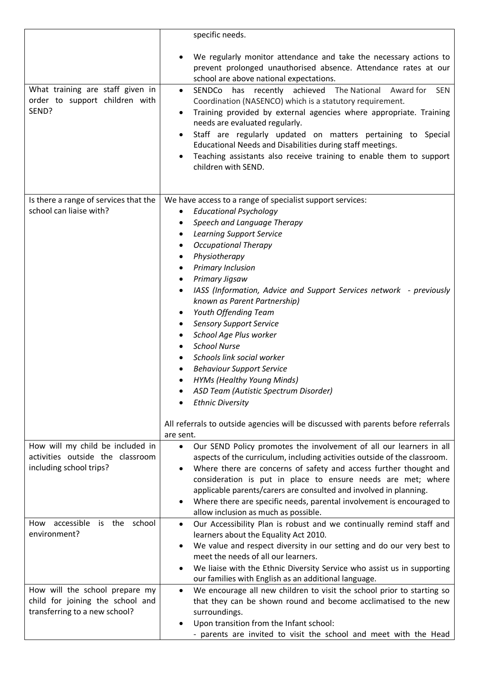|                                                                                                     | specific needs.                                                                                                                                                                                                                                                                                                                                                                                                                                                                                                                                                                                                                                           |
|-----------------------------------------------------------------------------------------------------|-----------------------------------------------------------------------------------------------------------------------------------------------------------------------------------------------------------------------------------------------------------------------------------------------------------------------------------------------------------------------------------------------------------------------------------------------------------------------------------------------------------------------------------------------------------------------------------------------------------------------------------------------------------|
| What training are staff given in<br>order to support children with<br>SEND?                         | We regularly monitor attendance and take the necessary actions to<br>prevent prolonged unauthorised absence. Attendance rates at our<br>school are above national expectations.<br>SENDCo has recently achieved The National Award for<br>SEN<br>$\bullet$<br>Coordination (NASENCO) which is a statutory requirement.<br>Training provided by external agencies where appropriate. Training<br>needs are evaluated regularly.<br>Staff are regularly updated on matters pertaining to Special<br>Educational Needs and Disabilities during staff meetings.<br>Teaching assistants also receive training to enable them to support<br>children with SEND. |
|                                                                                                     |                                                                                                                                                                                                                                                                                                                                                                                                                                                                                                                                                                                                                                                           |
| Is there a range of services that the<br>school can liaise with?                                    | We have access to a range of specialist support services:<br><b>Educational Psychology</b><br>Speech and Language Therapy<br><b>Learning Support Service</b><br><b>Occupational Therapy</b><br>Physiotherapy<br>Primary Inclusion<br>Primary Jigsaw<br>IASS (Information, Advice and Support Services network - previously<br>known as Parent Partnership)<br>Youth Offending Team<br><b>Sensory Support Service</b><br>School Age Plus worker<br><b>School Nurse</b><br>Schools link social worker<br><b>Behaviour Support Service</b><br><b>HYMs (Healthy Young Minds)</b><br>ASD Team (Autistic Spectrum Disorder)<br><b>Ethnic Diversity</b>          |
|                                                                                                     | All referrals to outside agencies will be discussed with parents before referrals<br>are sent.                                                                                                                                                                                                                                                                                                                                                                                                                                                                                                                                                            |
| How will my child be included in<br>activities outside the classroom<br>including school trips?     | Our SEND Policy promotes the involvement of all our learners in all<br>$\bullet$<br>aspects of the curriculum, including activities outside of the classroom.<br>Where there are concerns of safety and access further thought and<br>consideration is put in place to ensure needs are met; where<br>applicable parents/carers are consulted and involved in planning.<br>Where there are specific needs, parental involvement is encouraged to<br>allow inclusion as much as possible.                                                                                                                                                                  |
| How accessible is the school<br>environment?                                                        | Our Accessibility Plan is robust and we continually remind staff and<br>$\bullet$<br>learners about the Equality Act 2010.<br>We value and respect diversity in our setting and do our very best to<br>٠<br>meet the needs of all our learners.<br>We liaise with the Ethnic Diversity Service who assist us in supporting<br>our families with English as an additional language.                                                                                                                                                                                                                                                                        |
| How will the school prepare my<br>child for joining the school and<br>transferring to a new school? | We encourage all new children to visit the school prior to starting so<br>$\bullet$<br>that they can be shown round and become acclimatised to the new<br>surroundings.<br>Upon transition from the Infant school:<br>- parents are invited to visit the school and meet with the Head                                                                                                                                                                                                                                                                                                                                                                    |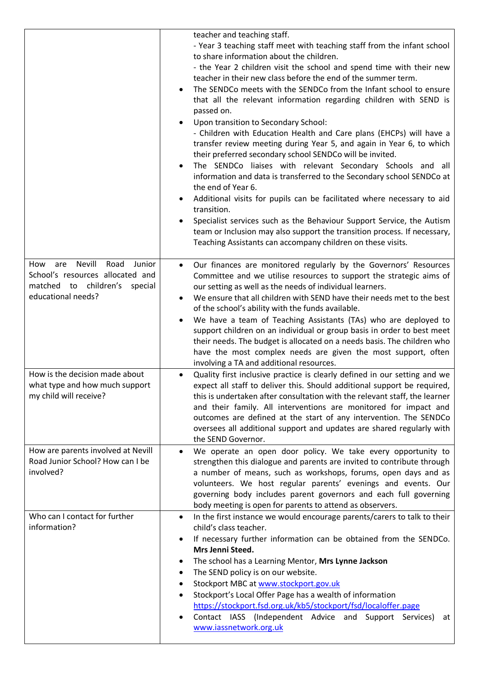|                                                                                                                                   | teacher and teaching staff.<br>- Year 3 teaching staff meet with teaching staff from the infant school<br>to share information about the children.<br>- the Year 2 children visit the school and spend time with their new<br>teacher in their new class before the end of the summer term.<br>The SENDCo meets with the SENDCo from the Infant school to ensure<br>that all the relevant information regarding children with SEND is<br>passed on.<br>Upon transition to Secondary School:<br>- Children with Education Health and Care plans (EHCPs) will have a<br>transfer review meeting during Year 5, and again in Year 6, to which<br>their preferred secondary school SENDCo will be invited.<br>The SENDCo liaises with relevant Secondary Schools and all<br>information and data is transferred to the Secondary school SENDCo at<br>the end of Year 6.<br>Additional visits for pupils can be facilitated where necessary to aid<br>transition.<br>Specialist services such as the Behaviour Support Service, the Autism<br>team or Inclusion may also support the transition process. If necessary,<br>Teaching Assistants can accompany children on these visits. |
|-----------------------------------------------------------------------------------------------------------------------------------|----------------------------------------------------------------------------------------------------------------------------------------------------------------------------------------------------------------------------------------------------------------------------------------------------------------------------------------------------------------------------------------------------------------------------------------------------------------------------------------------------------------------------------------------------------------------------------------------------------------------------------------------------------------------------------------------------------------------------------------------------------------------------------------------------------------------------------------------------------------------------------------------------------------------------------------------------------------------------------------------------------------------------------------------------------------------------------------------------------------------------------------------------------------------------------|
| are Nevill<br>Road<br>Junior<br>How<br>School's resources allocated and<br>matched to children's<br>special<br>educational needs? | Our finances are monitored regularly by the Governors' Resources<br>$\bullet$<br>Committee and we utilise resources to support the strategic aims of<br>our setting as well as the needs of individual learners.<br>We ensure that all children with SEND have their needs met to the best<br>of the school's ability with the funds available.<br>We have a team of Teaching Assistants (TAs) who are deployed to<br>support children on an individual or group basis in order to best meet<br>their needs. The budget is allocated on a needs basis. The children who<br>have the most complex needs are given the most support, often<br>involving a TA and additional resources.                                                                                                                                                                                                                                                                                                                                                                                                                                                                                             |
| How is the decision made about<br>what type and how much support<br>my child will receive?                                        | Quality first inclusive practice is clearly defined in our setting and we<br>$\bullet$<br>expect all staff to deliver this. Should additional support be required,<br>this is undertaken after consultation with the relevant staff, the learner<br>and their family. All interventions are monitored for impact and<br>outcomes are defined at the start of any intervention. The SENDCo<br>oversees all additional support and updates are shared regularly with<br>the SEND Governor.                                                                                                                                                                                                                                                                                                                                                                                                                                                                                                                                                                                                                                                                                         |
| How are parents involved at Nevill<br>Road Junior School? How can I be<br>involved?                                               | We operate an open door policy. We take every opportunity to<br>$\bullet$<br>strengthen this dialogue and parents are invited to contribute through<br>a number of means, such as workshops, forums, open days and as<br>volunteers. We host regular parents' evenings and events. Our<br>governing body includes parent governors and each full governing<br>body meeting is open for parents to attend as observers.                                                                                                                                                                                                                                                                                                                                                                                                                                                                                                                                                                                                                                                                                                                                                           |
| Who can I contact for further<br>information?                                                                                     | In the first instance we would encourage parents/carers to talk to their<br>child's class teacher.<br>If necessary further information can be obtained from the SENDCo.<br>$\bullet$<br>Mrs Jenni Steed.<br>The school has a Learning Mentor, Mrs Lynne Jackson<br>٠<br>The SEND policy is on our website.<br>Stockport MBC at www.stockport.gov.uk<br>Stockport's Local Offer Page has a wealth of information<br>https://stockport.fsd.org.uk/kb5/stockport/fsd/localoffer.page<br>Contact IASS (Independent Advice and Support Services)<br>at<br>www.iassnetwork.org.uk                                                                                                                                                                                                                                                                                                                                                                                                                                                                                                                                                                                                      |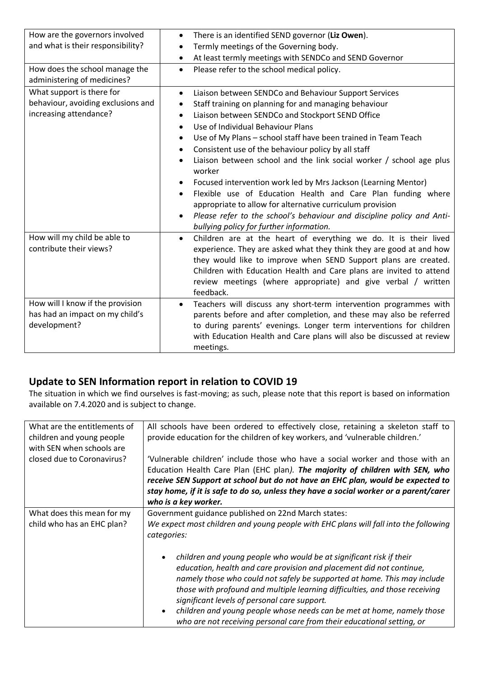| How are the governors involved<br>and what is their responsibility?<br>How does the school manage the<br>administering of medicines? | There is an identified SEND governor (Liz Owen).<br>$\bullet$<br>Termly meetings of the Governing body.<br>$\bullet$<br>At least termly meetings with SENDCo and SEND Governor<br>$\bullet$<br>Please refer to the school medical policy.<br>$\bullet$                                                                                                                                                                                                                                                                                                                                                                                                                                                                                                        |
|--------------------------------------------------------------------------------------------------------------------------------------|---------------------------------------------------------------------------------------------------------------------------------------------------------------------------------------------------------------------------------------------------------------------------------------------------------------------------------------------------------------------------------------------------------------------------------------------------------------------------------------------------------------------------------------------------------------------------------------------------------------------------------------------------------------------------------------------------------------------------------------------------------------|
| What support is there for<br>behaviour, avoiding exclusions and<br>increasing attendance?                                            | Liaison between SENDCo and Behaviour Support Services<br>٠<br>Staff training on planning for and managing behaviour<br>Liaison between SENDCo and Stockport SEND Office<br>٠<br>Use of Individual Behaviour Plans<br>$\bullet$<br>Use of My Plans - school staff have been trained in Team Teach<br>Consistent use of the behaviour policy by all staff<br>Liaison between school and the link social worker / school age plus<br>worker<br>Focused intervention work led by Mrs Jackson (Learning Mentor)<br>Flexible use of Education Health and Care Plan funding where<br>appropriate to allow for alternative curriculum provision<br>Please refer to the school's behaviour and discipline policy and Anti-<br>bullying policy for further information. |
| How will my child be able to<br>contribute their views?                                                                              | Children are at the heart of everything we do. It is their lived<br>$\bullet$<br>experience. They are asked what they think they are good at and how<br>they would like to improve when SEND Support plans are created.<br>Children with Education Health and Care plans are invited to attend<br>review meetings (where appropriate) and give verbal / written<br>feedback.                                                                                                                                                                                                                                                                                                                                                                                  |
| How will I know if the provision<br>has had an impact on my child's<br>development?                                                  | Teachers will discuss any short-term intervention programmes with<br>parents before and after completion, and these may also be referred<br>to during parents' evenings. Longer term interventions for children<br>with Education Health and Care plans will also be discussed at review<br>meetings.                                                                                                                                                                                                                                                                                                                                                                                                                                                         |

## **Update to SEN Information report in relation to COVID 19**

The situation in which we find ourselves is fast-moving; as such, please note that this report is based on information available on 7.4.2020 and is subject to change.

| What are the entitlements of<br>children and young people<br>with SEN when schools are | All schools have been ordered to effectively close, retaining a skeleton staff to<br>provide education for the children of key workers, and 'vulnerable children.'                                                                                                                                                                                                                                                                                                                                         |
|----------------------------------------------------------------------------------------|------------------------------------------------------------------------------------------------------------------------------------------------------------------------------------------------------------------------------------------------------------------------------------------------------------------------------------------------------------------------------------------------------------------------------------------------------------------------------------------------------------|
| closed due to Coronavirus?                                                             | 'Vulnerable children' include those who have a social worker and those with an<br>Education Health Care Plan (EHC plan). The majority of children with SEN, who<br>receive SEN Support at school but do not have an EHC plan, would be expected to<br>stay home, if it is safe to do so, unless they have a social worker or a parent/carer<br>who is a key worker.                                                                                                                                        |
| What does this mean for my                                                             | Government guidance published on 22nd March states:                                                                                                                                                                                                                                                                                                                                                                                                                                                        |
| child who has an EHC plan?                                                             | We expect most children and young people with EHC plans will fall into the following<br>categories:                                                                                                                                                                                                                                                                                                                                                                                                        |
|                                                                                        | children and young people who would be at significant risk if their<br>education, health and care provision and placement did not continue,<br>namely those who could not safely be supported at home. This may include<br>those with profound and multiple learning difficulties, and those receiving<br>significant levels of personal care support.<br>children and young people whose needs can be met at home, namely those<br>who are not receiving personal care from their educational setting, or |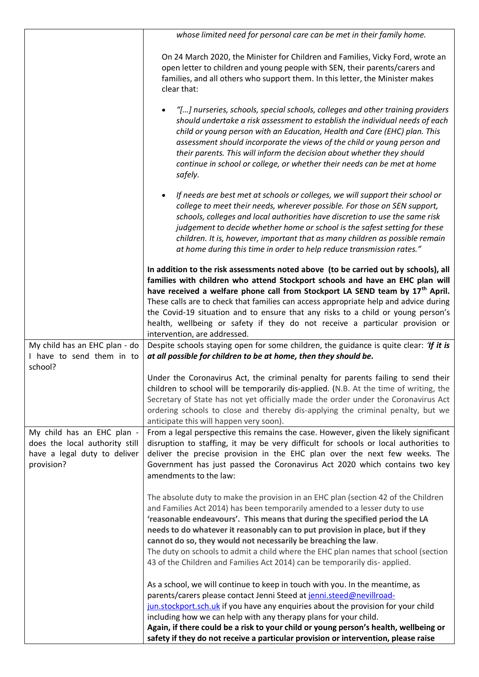|                                                                                                            | whose limited need for personal care can be met in their family home.                                                                                                                                                                                                                                                                                                                                                                                                                                                                                                  |
|------------------------------------------------------------------------------------------------------------|------------------------------------------------------------------------------------------------------------------------------------------------------------------------------------------------------------------------------------------------------------------------------------------------------------------------------------------------------------------------------------------------------------------------------------------------------------------------------------------------------------------------------------------------------------------------|
|                                                                                                            | On 24 March 2020, the Minister for Children and Families, Vicky Ford, wrote an<br>open letter to children and young people with SEN, their parents/carers and<br>families, and all others who support them. In this letter, the Minister makes<br>clear that:                                                                                                                                                                                                                                                                                                          |
|                                                                                                            | "[] nurseries, schools, special schools, colleges and other training providers<br>should undertake a risk assessment to establish the individual needs of each<br>child or young person with an Education, Health and Care (EHC) plan. This<br>assessment should incorporate the views of the child or young person and<br>their parents. This will inform the decision about whether they should<br>continue in school or college, or whether their needs can be met at home<br>safely.                                                                               |
|                                                                                                            | If needs are best met at schools or colleges, we will support their school or<br>college to meet their needs, wherever possible. For those on SEN support,<br>schools, colleges and local authorities have discretion to use the same risk<br>judgement to decide whether home or school is the safest setting for these<br>children. It is, however, important that as many children as possible remain<br>at home during this time in order to help reduce transmission rates."                                                                                      |
|                                                                                                            | In addition to the risk assessments noted above (to be carried out by schools), all<br>families with children who attend Stockport schools and have an EHC plan will<br>have received a welfare phone call from Stockport LA SEND team by 17 <sup>th</sup> April.<br>These calls are to check that families can access appropriate help and advice during<br>the Covid-19 situation and to ensure that any risks to a child or young person's<br>health, wellbeing or safety if they do not receive a particular provision or<br>intervention, are addressed.          |
| My child has an EHC plan - do<br>I have to send them in to<br>school?                                      | Despite schools staying open for some children, the guidance is quite clear: 'If it is<br>at all possible for children to be at home, then they should be.                                                                                                                                                                                                                                                                                                                                                                                                             |
|                                                                                                            | Under the Coronavirus Act, the criminal penalty for parents failing to send their<br>children to school will be temporarily dis-applied. (N.B. At the time of writing, the<br>Secretary of State has not yet officially made the order under the Coronavirus Act<br>ordering schools to close and thereby dis-applying the criminal penalty, but we<br>anticipate this will happen very soon).                                                                                                                                                                         |
| My child has an EHC plan -<br>does the local authority still<br>have a legal duty to deliver<br>provision? | From a legal perspective this remains the case. However, given the likely significant<br>disruption to staffing, it may be very difficult for schools or local authorities to<br>deliver the precise provision in the EHC plan over the next few weeks. The<br>Government has just passed the Coronavirus Act 2020 which contains two key<br>amendments to the law:                                                                                                                                                                                                    |
|                                                                                                            | The absolute duty to make the provision in an EHC plan (section 42 of the Children<br>and Families Act 2014) has been temporarily amended to a lesser duty to use<br>'reasonable endeavours'. This means that during the specified period the LA<br>needs to do whatever it reasonably can to put provision in place, but if they<br>cannot do so, they would not necessarily be breaching the law.<br>The duty on schools to admit a child where the EHC plan names that school (section<br>43 of the Children and Families Act 2014) can be temporarily dis-applied. |
|                                                                                                            | As a school, we will continue to keep in touch with you. In the meantime, as<br>parents/carers please contact Jenni Steed at jenni.steed@nevillroad-<br>jun.stockport.sch.uk if you have any enquiries about the provision for your child<br>including how we can help with any therapy plans for your child.                                                                                                                                                                                                                                                          |
|                                                                                                            | Again, if there could be a risk to your child or young person's health, wellbeing or<br>safety if they do not receive a particular provision or intervention, please raise                                                                                                                                                                                                                                                                                                                                                                                             |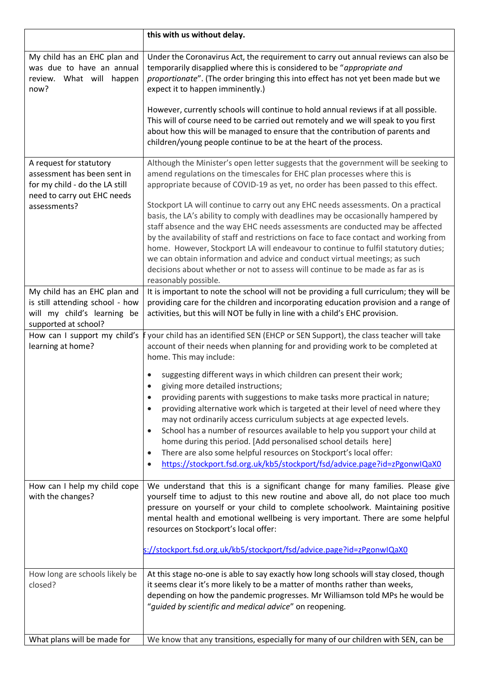|                                                                                                                         | this with us without delay.                                                                                                                                                                                                                                                                                                                                                                                                                                                                                                                                                                                                                                                                                              |
|-------------------------------------------------------------------------------------------------------------------------|--------------------------------------------------------------------------------------------------------------------------------------------------------------------------------------------------------------------------------------------------------------------------------------------------------------------------------------------------------------------------------------------------------------------------------------------------------------------------------------------------------------------------------------------------------------------------------------------------------------------------------------------------------------------------------------------------------------------------|
| My child has an EHC plan and<br>was due to have an annual<br>review. What will happen<br>now?                           | Under the Coronavirus Act, the requirement to carry out annual reviews can also be<br>temporarily disapplied where this is considered to be "appropriate and<br>proportionate". (The order bringing this into effect has not yet been made but we<br>expect it to happen imminently.)                                                                                                                                                                                                                                                                                                                                                                                                                                    |
|                                                                                                                         | However, currently schools will continue to hold annual reviews if at all possible.<br>This will of course need to be carried out remotely and we will speak to you first<br>about how this will be managed to ensure that the contribution of parents and<br>children/young people continue to be at the heart of the process.                                                                                                                                                                                                                                                                                                                                                                                          |
| A request for statutory<br>assessment has been sent in<br>for my child - do the LA still<br>need to carry out EHC needs | Although the Minister's open letter suggests that the government will be seeking to<br>amend regulations on the timescales for EHC plan processes where this is<br>appropriate because of COVID-19 as yet, no order has been passed to this effect.                                                                                                                                                                                                                                                                                                                                                                                                                                                                      |
| assessments?                                                                                                            | Stockport LA will continue to carry out any EHC needs assessments. On a practical<br>basis, the LA's ability to comply with deadlines may be occasionally hampered by<br>staff absence and the way EHC needs assessments are conducted may be affected<br>by the availability of staff and restrictions on face to face contact and working from<br>home. However, Stockport LA will endeavour to continue to fulfil statutory duties;<br>we can obtain information and advice and conduct virtual meetings; as such<br>decisions about whether or not to assess will continue to be made as far as is<br>reasonably possible.                                                                                           |
| My child has an EHC plan and<br>is still attending school - how<br>will my child's learning be<br>supported at school?  | It is important to note the school will not be providing a full curriculum; they will be<br>providing care for the children and incorporating education provision and a range of<br>activities, but this will NOT be fully in line with a child's EHC provision.                                                                                                                                                                                                                                                                                                                                                                                                                                                         |
| How can I support my child's<br>learning at home?                                                                       | your child has an identified SEN (EHCP or SEN Support), the class teacher will take<br>account of their needs when planning for and providing work to be completed at<br>home. This may include:                                                                                                                                                                                                                                                                                                                                                                                                                                                                                                                         |
|                                                                                                                         | suggesting different ways in which children can present their work;<br>giving more detailed instructions;<br>providing parents with suggestions to make tasks more practical in nature;<br>$\bullet$<br>providing alternative work which is targeted at their level of need where they<br>$\bullet$<br>may not ordinarily access curriculum subjects at age expected levels.<br>School has a number of resources available to help you support your child at<br>$\bullet$<br>home during this period. [Add personalised school details here]<br>There are also some helpful resources on Stockport's local offer:<br>$\bullet$<br>https://stockport.fsd.org.uk/kb5/stockport/fsd/advice.page?id=zPgonwIQaX0<br>$\bullet$ |
| How can I help my child cope<br>with the changes?                                                                       | We understand that this is a significant change for many families. Please give<br>yourself time to adjust to this new routine and above all, do not place too much<br>pressure on yourself or your child to complete schoolwork. Maintaining positive<br>mental health and emotional wellbeing is very important. There are some helpful<br>resources on Stockport's local offer:                                                                                                                                                                                                                                                                                                                                        |
|                                                                                                                         | s://stockport.fsd.org.uk/kb5/stockport/fsd/advice.page?id=zPgonwIQaX0                                                                                                                                                                                                                                                                                                                                                                                                                                                                                                                                                                                                                                                    |
| How long are schools likely be<br>closed?                                                                               | At this stage no-one is able to say exactly how long schools will stay closed, though<br>it seems clear it's more likely to be a matter of months rather than weeks,<br>depending on how the pandemic progresses. Mr Williamson told MPs he would be<br>"guided by scientific and medical advice" on reopening.                                                                                                                                                                                                                                                                                                                                                                                                          |
| What plans will be made for                                                                                             | We know that any transitions, especially for many of our children with SEN, can be                                                                                                                                                                                                                                                                                                                                                                                                                                                                                                                                                                                                                                       |